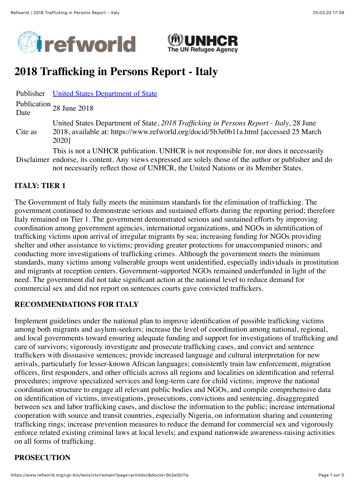



# **2018 Trafficking in Persons Report - Italy**

Publisher [United States Department of State](https://www.refworld.org/publisher/USDOS.html)

Publication Date 28 June 2018

- Cite as United States Department of State, *2018 Trafficking in Persons Report - Italy*, 28 June 2018, available at: https://www.refworld.org/docid/5b3e0b11a.html [accessed 25 March 2020]
- Disclaimer endorse, its content. Any views expressed are solely those of the author or publisher and do This is not a UNHCR publication. UNHCR is not responsible for, nor does it necessarily not necessarily reflect those of UNHCR, the United Nations or its Member States.

### **ITALY: TIER 1**

The Government of Italy fully meets the minimum standards for the elimination of trafficking. The government continued to demonstrate serious and sustained efforts during the reporting period; therefore Italy remained on Tier 1. The government demonstrated serious and sustained efforts by improving coordination among government agencies, international organizations, and NGOs in identification of trafficking victims upon arrival of irregular migrants by sea; increasing funding for NGOs providing shelter and other assistance to victims; providing greater protections for unaccompanied minors; and conducting more investigations of trafficking crimes. Although the government meets the minimum standards, many victims among vulnerable groups went unidentified, especially individuals in prostitution and migrants at reception centers. Government-supported NGOs remained underfunded in light of the need. The government did not take significant action at the national level to reduce demand for commercial sex and did not report on sentences courts gave convicted traffickers.

#### **RECOMMENDATIONS FOR ITALY**

Implement guidelines under the national plan to improve identification of possible trafficking victims among both migrants and asylum-seekers; increase the level of coordination among national, regional, and local governments toward ensuring adequate funding and support for investigations of trafficking and care of survivors; vigorously investigate and prosecute trafficking cases, and convict and sentence traffickers with dissuasive sentences; provide increased language and cultural interpretation for new arrivals, particularly for lesser-known African languages; consistently train law enforcement, migration officers, first responders, and other officials across all regions and localities on identification and referral procedures; improve specialized services and long-term care for child victims; improve the national coordination structure to engage all relevant public bodies and NGOs, and compile comprehensive data on identification of victims, investigations, prosecutions, convictions and sentencing, disaggregated between sex and labor trafficking cases, and disclose the information to the public; increase international cooperation with source and transit countries, especially Nigeria, on information sharing and countering trafficking rings; increase prevention measures to reduce the demand for commercial sex and vigorously enforce related existing criminal laws at local levels; and expand nationwide awareness-raising activities on all forms of trafficking.

#### **PROSECUTION**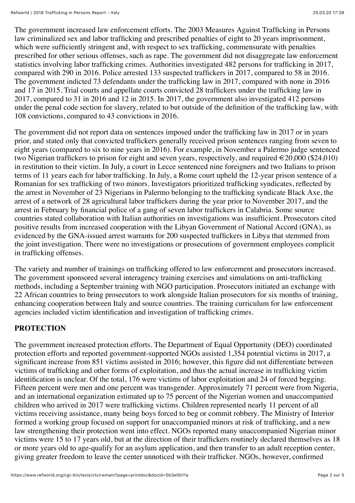The government increased law enforcement efforts. The 2003 Measures Against Trafficking in Persons law criminalized sex and labor trafficking and prescribed penalties of eight to 20 years imprisonment, which were sufficiently stringent and, with respect to sex trafficking, commensurate with penalties prescribed for other serious offenses, such as rape. The government did not disaggregate law enforcement statistics involving labor trafficking crimes. Authorities investigated 482 persons for trafficking in 2017, compared with 290 in 2016. Police arrested 133 suspected traffickers in 2017, compared to 58 in 2016. The government indicted 73 defendants under the trafficking law in 2017, compared with none in 2016 and 17 in 2015. Trial courts and appellate courts convicted 28 traffickers under the trafficking law in 2017, compared to 31 in 2016 and 12 in 2015. In 2017, the government also investigated 412 persons under the penal code section for slavery, related to but outside of the definition of the trafficking law, with 108 convictions, compared to 43 convictions in 2016.

The government did not report data on sentences imposed under the trafficking law in 2017 or in years prior, and stated only that convicted traffickers generally received prison sentences ranging from seven to eight years (compared to six to nine years in 2016). For example, in November a Palermo judge sentenced two Nigerian traffickers to prison for eight and seven years, respectively, and required  $\in 20,000$  (\$24,010) in restitution to their victim. In July, a court in Lecce sentenced nine foreigners and two Italians to prison terms of 11 years each for labor trafficking. In July, a Rome court upheld the 12-year prison sentence of a Romanian for sex trafficking of two minors. Investigators prioritized trafficking syndicates, reflected by the arrest in November of 23 Nigerians in Palermo belonging to the trafficking syndicate Black Axe, the arrest of a network of 28 agricultural labor traffickers during the year prior to November 2017, and the arrest in February by financial police of a gang of seven labor traffickers in Calabria. Some source countries stated collaboration with Italian authorities on investigations was insufficient. Prosecutors cited positive results from increased cooperation with the Libyan Government of National Accord (GNA), as evidenced by the GNA-issued arrest warrants for 200 suspected traffickers in Libya that stemmed from the joint investigation. There were no investigations or prosecutions of government employees complicit in trafficking offenses.

The variety and number of trainings on trafficking offered to law enforcement and prosecutors increased. The government sponsored several interagency training exercises and simulations on anti-trafficking methods, including a September training with NGO participation. Prosecutors initiated an exchange with 22 African countries to bring prosecutors to work alongside Italian prosecutors for six months of training, enhancing cooperation between Italy and source countries. The training curriculum for law enforcement agencies included victim identification and investigation of trafficking crimes.

## **PROTECTION**

The government increased protection efforts. The Department of Equal Opportunity (DEO) coordinated protection efforts and reported government-supported NGOs assisted 1,354 potential victims in 2017, a significant increase from 851 victims assisted in 2016; however, this figure did not differentiate between victims of trafficking and other forms of exploitation, and thus the actual increase in trafficking victim identification is unclear. Of the total, 176 were victims of labor exploitation and 24 of forced begging. Fifteen percent were men and one percent was transgender. Approximately 71 percent were from Nigeria, and an international organization estimated up to 75 percent of the Nigerian women and unaccompanied children who arrived in 2017 were trafficking victims. Children represented nearly 11 percent of all victims receiving assistance, many being boys forced to beg or commit robbery. The Ministry of Interior formed a working group focused on support for unaccompanied minors at risk of trafficking, and a new law strengthening their protection went into effect. NGOs reported many unaccompanied Nigerian minor victims were 15 to 17 years old, but at the direction of their traffickers routinely declared themselves as 18 or more years old to age-qualify for an asylum application, and then transfer to an adult reception center, giving greater freedom to leave the center unnoticed with their trafficker. NGOs, however, confirmed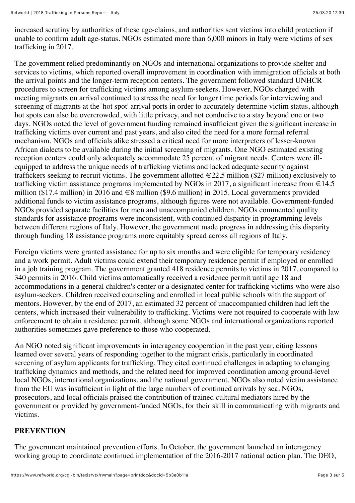increased scrutiny by authorities of these age-claims, and authorities sent victims into child protection if unable to confirm adult age-status. NGOs estimated more than 6,000 minors in Italy were victims of sex trafficking in 2017.

The government relied predominantly on NGOs and international organizations to provide shelter and services to victims, which reported overall improvement in coordination with immigration officials at both the arrival points and the longer-term reception centers. The government followed standard UNHCR procedures to screen for trafficking victims among asylum-seekers. However, NGOs charged with meeting migrants on arrival continued to stress the need for longer time periods for interviewing and screening of migrants at the 'hot spot' arrival ports in order to accurately determine victim status, although hot spots can also be overcrowded, with little privacy, and not conducive to a stay beyond one or two days. NGOs noted the level of government funding remained insufficient given the significant increase in trafficking victims over current and past years, and also cited the need for a more formal referral mechanism. NGOs and officials alike stressed a critical need for more interpreters of lesser-known African dialects to be available during the initial screening of migrants. One NGO estimated existing reception centers could only adequately accommodate 25 percent of migrant needs. Centers were illequipped to address the unique needs of trafficking victims and lacked adequate security against traffickers seeking to recruit victims. The government allotted  $\in$  22.5 million (\$27 million) exclusively to trafficking victim assistance programs implemented by NGOs in 2017, a significant increase from  $\in$  14.5 million (\$17.4 million) in 2016 and  $\in$ 8 million (\$9.6 million) in 2015. Local governments provided additional funds to victim assistance programs, although figures were not available. Government-funded NGOs provided separate facilities for men and unaccompanied children. NGOs commented quality standards for assistance programs were inconsistent, with continued disparity in programming levels between different regions of Italy. However, the government made progress in addressing this disparity through funding 18 assistance programs more equitably spread across all regions of Italy.

Foreign victims were granted assistance for up to six months and were eligible for temporary residency and a work permit. Adult victims could extend their temporary residence permit if employed or enrolled in a job training program. The government granted 418 residence permits to victims in 2017, compared to 340 permits in 2016. Child victims automatically received a residence permit until age 18 and accommodations in a general children's center or a designated center for trafficking victims who were also asylum-seekers. Children received counseling and enrolled in local public schools with the support of mentors. However, by the end of 2017, an estimated 32 percent of unaccompanied children had left the centers, which increased their vulnerability to trafficking. Victims were not required to cooperate with law enforcement to obtain a residence permit, although some NGOs and international organizations reported authorities sometimes gave preference to those who cooperated.

An NGO noted significant improvements in interagency cooperation in the past year, citing lessons learned over several years of responding together to the migrant crisis, particularly in coordinated screening of asylum applicants for trafficking. They cited continued challenges in adapting to changing trafficking dynamics and methods, and the related need for improved coordination among ground-level local NGOs, international organizations, and the national government. NGOs also noted victim assistance from the EU was insufficient in light of the large numbers of continued arrivals by sea. NGOs, prosecutors, and local officials praised the contribution of trained cultural mediators hired by the government or provided by government-funded NGOs, for their skill in communicating with migrants and victims.

#### **PREVENTION**

The government maintained prevention efforts. In October, the government launched an interagency working group to coordinate continued implementation of the 2016-2017 national action plan. The DEO,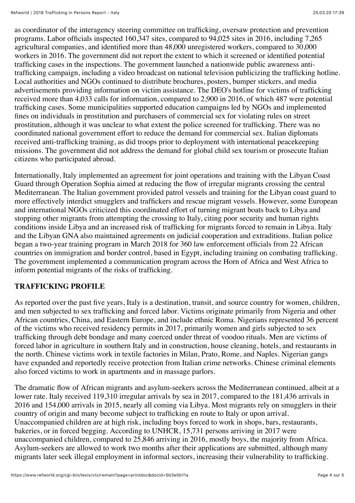as coordinator of the interagency steering committee on trafficking, oversaw protection and prevention programs. Labor officials inspected 160,347 sites, compared to 94,025 sites in 2016, including 7,265 agricultural companies, and identified more than 48,000 unregistered workers, compared to 30,000 workers in 2016. The government did not report the extent to which it screened or identified potential trafficking cases in the inspections. The government launched a nationwide public awareness antitrafficking campaign, including a video broadcast on national television publicizing the trafficking hotline. Local authorities and NGOs continued to distribute brochures, posters, bumper stickers, and media advertisements providing information on victim assistance. The DEO's hotline for victims of trafficking received more than 4,033 calls for information, compared to 2,900 in 2016, of which 487 were potential trafficking cases. Some municipalities supported education campaigns led by NGOs and implemented fines on individuals in prostitution and purchasers of commercial sex for violating rules on street prostitution, although it was unclear to what extent the police screened for trafficking. There was no coordinated national government effort to reduce the demand for commercial sex. Italian diplomats received anti-trafficking training, as did troops prior to deployment with international peacekeeping missions. The government did not address the demand for global child sex tourism or prosecute Italian citizens who participated abroad.

Internationally, Italy implemented an agreement for joint operations and training with the Libyan Coast Guard through Operation Sophia aimed at reducing the flow of irregular migrants crossing the central Mediterranean. The Italian government provided patrol vessels and training for the Libyan coast guard to more effectively interdict smugglers and traffickers and rescue migrant vessels. However, some European and international NGOs criticized this coordinated effort of turning migrant boats back to Libya and stopping other migrants from attempting the crossing to Italy, citing poor security and human rights conditions inside Libya and an increased risk of trafficking for migrants forced to remain in Libya. Italy and the Libyan GNA also maintained agreements on judicial cooperation and extraditions. Italian police began a two-year training program in March 2018 for 360 law enforcement officials from 22 African countries on immigration and border control, based in Egypt, including training on combating trafficking. The government implemented a communication program across the Horn of Africa and West Africa to inform potential migrants of the risks of trafficking.

#### **TRAFFICKING PROFILE**

As reported over the past five years, Italy is a destination, transit, and source country for women, children, and men subjected to sex trafficking and forced labor. Victims originate primarily from Nigeria and other African countries, China, and Eastern Europe, and include ethnic Roma. Nigerians represented 36 percent of the victims who received residency permits in 2017, primarily women and girls subjected to sex trafficking through debt bondage and many coerced under threat of voodoo rituals. Men are victims of forced labor in agriculture in southern Italy and in construction, house cleaning, hotels, and restaurants in the north. Chinese victims work in textile factories in Milan, Prato, Rome, and Naples. Nigerian gangs have expanded and reportedly receive protection from Italian crime networks. Chinese criminal elements also forced victims to work in apartments and in massage parlors.

The dramatic flow of African migrants and asylum-seekers across the Mediterranean continued, albeit at a lower rate. Italy received 119,310 irregular arrivals by sea in 2017, compared to the 181,436 arrivals in 2016 and 154,000 arrivals in 2015, nearly all coming via Libya. Most migrants rely on smugglers in their country of origin and many become subject to trafficking en route to Italy or upon arrival. Unaccompanied children are at high risk, including boys forced to work in shops, bars, restaurants, bakeries, or in forced begging. According to UNHCR, 15,731 persons arriving in 2017 were unaccompanied children, compared to 25,846 arriving in 2016, mostly boys, the majority from Africa. Asylum-seekers are allowed to work two months after their applications are submitted, although many migrants later seek illegal employment in informal sectors, increasing their vulnerability to trafficking.